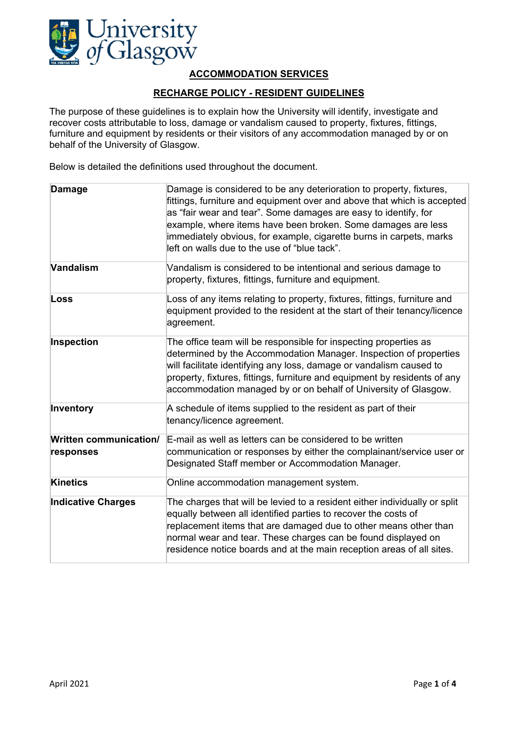

# **ACCOMMODATION SERVICES**

## **RECHARGE POLICY - RESIDENT GUIDELINES**

The purpose of these guidelines is to explain how the University will identify, investigate and recover costs attributable to loss, damage or vandalism caused to property, fixtures, fittings, furniture and equipment by residents or their visitors of any accommodation managed by or on behalf of the University of Glasgow.

Below is detailed the definitions used throughout the document.

| <b>Damage</b>                              | Damage is considered to be any deterioration to property, fixtures,<br>fittings, furniture and equipment over and above that which is accepted<br>as "fair wear and tear". Some damages are easy to identify, for<br>example, where items have been broken. Some damages are less<br>immediately obvious, for example, cigarette burns in carpets, marks<br>left on walls due to the use of "blue tack". |
|--------------------------------------------|----------------------------------------------------------------------------------------------------------------------------------------------------------------------------------------------------------------------------------------------------------------------------------------------------------------------------------------------------------------------------------------------------------|
| Vandalism                                  | Vandalism is considered to be intentional and serious damage to<br>property, fixtures, fittings, furniture and equipment.                                                                                                                                                                                                                                                                                |
| Loss                                       | Loss of any items relating to property, fixtures, fittings, furniture and<br>equipment provided to the resident at the start of their tenancy/licence<br>agreement.                                                                                                                                                                                                                                      |
| Inspection                                 | The office team will be responsible for inspecting properties as<br>determined by the Accommodation Manager. Inspection of properties<br>will facilitate identifying any loss, damage or vandalism caused to<br>property, fixtures, fittings, furniture and equipment by residents of any<br>accommodation managed by or on behalf of University of Glasgow.                                             |
| Inventory                                  | A schedule of items supplied to the resident as part of their<br>tenancy/licence agreement.                                                                                                                                                                                                                                                                                                              |
| <b>Written communication/</b><br>responses | E-mail as well as letters can be considered to be written<br>communication or responses by either the complainant/service user or<br>Designated Staff member or Accommodation Manager.                                                                                                                                                                                                                   |
| <b>Kinetics</b>                            | Online accommodation management system.                                                                                                                                                                                                                                                                                                                                                                  |
| <b>Indicative Charges</b>                  | The charges that will be levied to a resident either individually or split<br>equally between all identified parties to recover the costs of<br>replacement items that are damaged due to other means other than<br>normal wear and tear. These charges can be found displayed on<br>residence notice boards and at the main reception areas of all sites.                                               |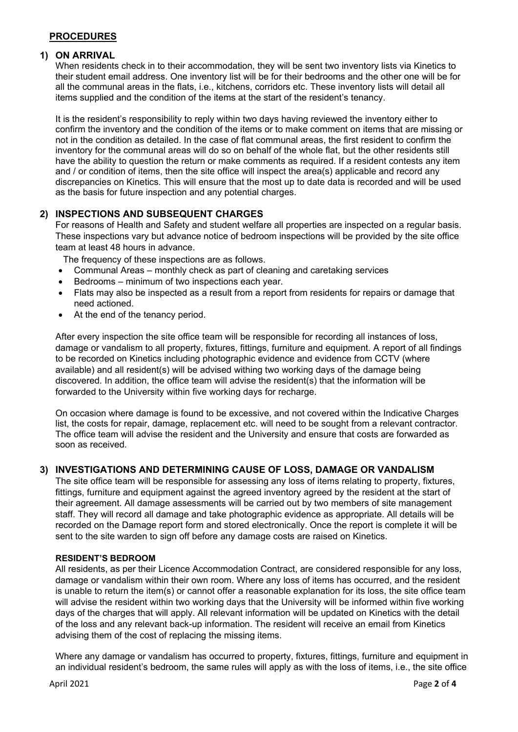## **PROCEDURES**

### **1) ON ARRIVAL**

When residents check in to their accommodation, they will be sent two inventory lists via Kinetics to their student email address. One inventory list will be for their bedrooms and the other one will be for all the communal areas in the flats, i.e., kitchens, corridors etc. These inventory lists will detail all items supplied and the condition of the items at the start of the resident's tenancy.

It is the resident's responsibility to reply within two days having reviewed the inventory either to confirm the inventory and the condition of the items or to make comment on items that are missing or not in the condition as detailed. In the case of flat communal areas, the first resident to confirm the inventory for the communal areas will do so on behalf of the whole flat, but the other residents still have the ability to question the return or make comments as required. If a resident contests any item and / or condition of items, then the site office will inspect the area(s) applicable and record any discrepancies on Kinetics. This will ensure that the most up to date data is recorded and will be used as the basis for future inspection and any potential charges.

## **2) INSPECTIONS AND SUBSEQUENT CHARGES**

For reasons of Health and Safety and student welfare all properties are inspected on a regular basis. These inspections vary but advance notice of bedroom inspections will be provided by the site office team at least 48 hours in advance.

The frequency of these inspections are as follows.

- Communal Areas monthly check as part of cleaning and caretaking services
- Bedrooms minimum of two inspections each year.
- Flats may also be inspected as a result from a report from residents for repairs or damage that need actioned.
- At the end of the tenancy period.

After every inspection the site office team will be responsible for recording all instances of loss, damage or vandalism to all property, fixtures, fittings, furniture and equipment. A report of all findings to be recorded on Kinetics including photographic evidence and evidence from CCTV (where available) and all resident(s) will be advised withing two working days of the damage being discovered. In addition, the office team will advise the resident(s) that the information will be forwarded to the University within five working days for recharge.

On occasion where damage is found to be excessive, and not covered within the Indicative Charges list, the costs for repair, damage, replacement etc. will need to be sought from a relevant contractor. The office team will advise the resident and the University and ensure that costs are forwarded as soon as received.

#### **3) INVESTIGATIONS AND DETERMINING CAUSE OF LOSS, DAMAGE OR VANDALISM**

The site office team will be responsible for assessing any loss of items relating to property, fixtures, fittings, furniture and equipment against the agreed inventory agreed by the resident at the start of their agreement. All damage assessments will be carried out by two members of site management staff. They will record all damage and take photographic evidence as appropriate. All details will be recorded on the Damage report form and stored electronically. Once the report is complete it will be sent to the site warden to sign off before any damage costs are raised on Kinetics.

#### **RESIDENT'S BEDROOM**

All residents, as per their Licence Accommodation Contract, are considered responsible for any loss, damage or vandalism within their own room. Where any loss of items has occurred, and the resident is unable to return the item(s) or cannot offer a reasonable explanation for its loss, the site office team will advise the resident within two working days that the University will be informed within five working days of the charges that will apply. All relevant information will be updated on Kinetics with the detail of the loss and any relevant back-up information. The resident will receive an email from Kinetics advising them of the cost of replacing the missing items.

Where any damage or vandalism has occurred to property, fixtures, fittings, furniture and equipment in an individual resident's bedroom, the same rules will apply as with the loss of items, i.e., the site office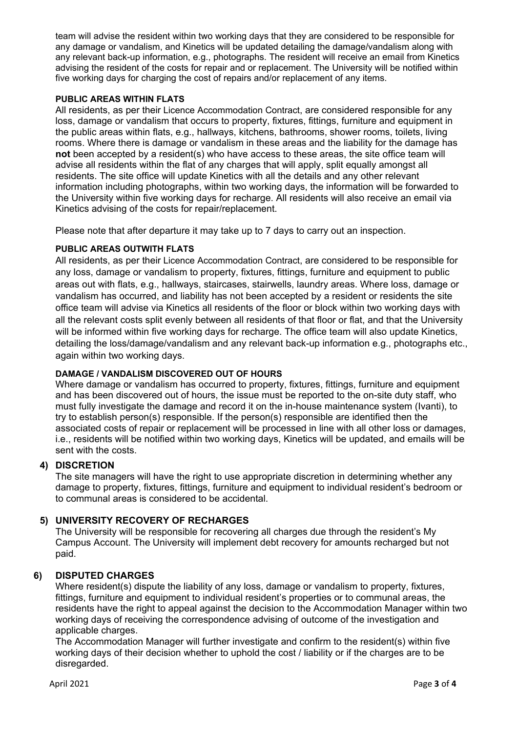team will advise the resident within two working days that they are considered to be responsible for any damage or vandalism, and Kinetics will be updated detailing the damage/vandalism along with any relevant back-up information, e.g., photographs. The resident will receive an email from Kinetics advising the resident of the costs for repair and or replacement. The University will be notified within five working days for charging the cost of repairs and/or replacement of any items.

### **PUBLIC AREAS WITHIN FLATS**

All residents, as per their Licence Accommodation Contract, are considered responsible for any loss, damage or vandalism that occurs to property, fixtures, fittings, furniture and equipment in the public areas within flats, e.g., hallways, kitchens, bathrooms, shower rooms, toilets, living rooms. Where there is damage or vandalism in these areas and the liability for the damage has **not** been accepted by a resident(s) who have access to these areas, the site office team will advise all residents within the flat of any charges that will apply, split equally amongst all residents. The site office will update Kinetics with all the details and any other relevant information including photographs, within two working days, the information will be forwarded to the University within five working days for recharge. All residents will also receive an email via Kinetics advising of the costs for repair/replacement.

Please note that after departure it may take up to 7 days to carry out an inspection.

### **PUBLIC AREAS OUTWITH FLATS**

All residents, as per their Licence Accommodation Contract, are considered to be responsible for any loss, damage or vandalism to property, fixtures, fittings, furniture and equipment to public areas out with flats, e.g., hallways, staircases, stairwells, laundry areas. Where loss, damage or vandalism has occurred, and liability has not been accepted by a resident or residents the site office team will advise via Kinetics all residents of the floor or block within two working days with all the relevant costs split evenly between all residents of that floor or flat, and that the University will be informed within five working days for recharge. The office team will also update Kinetics, detailing the loss/damage/vandalism and any relevant back-up information e.g., photographs etc., again within two working days.

#### **DAMAGE / VANDALISM DISCOVERED OUT OF HOURS**

Where damage or vandalism has occurred to property, fixtures, fittings, furniture and equipment and has been discovered out of hours, the issue must be reported to the on-site duty staff, who must fully investigate the damage and record it on the in-house maintenance system (Ivanti), to try to establish person(s) responsible. If the person(s) responsible are identified then the associated costs of repair or replacement will be processed in line with all other loss or damages, i.e., residents will be notified within two working days, Kinetics will be updated, and emails will be sent with the costs.

## **4) DISCRETION**

The site managers will have the right to use appropriate discretion in determining whether any damage to property, fixtures, fittings, furniture and equipment to individual resident's bedroom or to communal areas is considered to be accidental.

## **5) UNIVERSITY RECOVERY OF RECHARGES**

The University will be responsible for recovering all charges due through the resident's My Campus Account. The University will implement debt recovery for amounts recharged but not paid.

## **6) DISPUTED CHARGES**

Where resident(s) dispute the liability of any loss, damage or vandalism to property, fixtures, fittings, furniture and equipment to individual resident's properties or to communal areas, the residents have the right to appeal against the decision to the Accommodation Manager within two working days of receiving the correspondence advising of outcome of the investigation and applicable charges.

The Accommodation Manager will further investigate and confirm to the resident(s) within five working days of their decision whether to uphold the cost / liability or if the charges are to be disregarded.